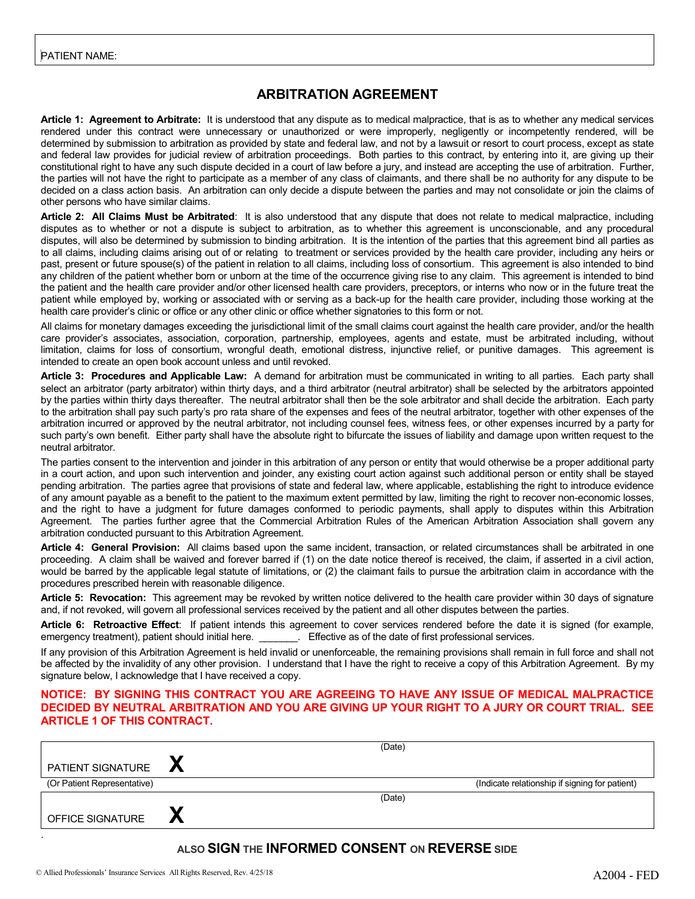## **ARBITRATION AGREEMENT**

**Article 1: Agreement to Arbitrate:** It is understood that any dispute as to medical malpractice, that is as to whether any medical services rendered under this contract were unnecessary or unauthorized or were improperly, negligently or incompetently rendered, will be determined by submission to arbitration as provided by state and federal law, and not by a lawsuit or resort to court process, except as state and federal law provides for judicial review of arbitration proceedings. Both parties to this contract, by entering into it, are giving up their constitutional right to have any such dispute decided in a court of law before a jury, and instead are accepting the use of arbitration. Further, the parties will not have the right to participate as a member of any class of claimants, and there shall be no authority for any dispute to be decided on a class action basis. An arbitration can only decide a dispute between the parties and may not consolidate or join the claims of other persons who have similar claims.

**Article 2: All Claims Must be Arbitrated**: It is also understood that any dispute that does not relate to medical malpractice, including disputes as to whether or not a dispute is subject to arbitration, as to whether this agreement is unconscionable, and any procedural disputes, will also be determined by submission to binding arbitration. It is the intention of the parties that this agreement bind all parties as to all claims, including claims arising out of or relating to treatment or services provided by the health care provider, including any heirs or past, present or future spouse(s) of the patient in relation to all claims, including loss of consortium. This agreement is also intended to bind any children of the patient whether born or unborn at the time of the occurrence giving rise to any claim. This agreement is intended to bind the patient and the health care provider and/or other licensed health care providers, preceptors, or interns who now or in the future treat the patient while employed by, working or associated with or serving as a back-up for the health care provider, including those working at the health care provider's clinic or office or any other clinic or office whether signatories to this form or not.

All claims for monetary damages exceeding the jurisdictional limit of the small claims court against the health care provider, and/or the health care provider's associates, association, corporation, partnership, employees, agents and estate, must be arbitrated including, without limitation, claims for loss of consortium, wrongful death, emotional distress, injunctive relief, or punitive damages. This agreement is intended to create an open book account unless and until revoked.

**Article 3: Procedures and Applicable Law:** A demand for arbitration must be communicated in writing to all parties. Each party shall select an arbitrator (party arbitrator) within thirty days, and a third arbitrator (neutral arbitrator) shall be selected by the arbitrators appointed by the parties within thirty days thereafter. The neutral arbitrator shall then be the sole arbitrator and shall decide the arbitration. Each party to the arbitration shall pay such party's pro rata share of the expenses and fees of the neutral arbitrator, together with other expenses of the arbitration incurred or approved by the neutral arbitrator, not including counsel fees, witness fees, or other expenses incurred by a party for such party's own benefit. Either party shall have the absolute right to bifurcate the issues of liability and damage upon written request to the neutral arbitrator.

The parties consent to the intervention and joinder in this arbitration of any person or entity that would otherwise be a proper additional party in a court action, and upon such intervention and joinder, any existing court action against such additional person or entity shall be stayed pending arbitration. The parties agree that provisions of state and federal law, where applicable, establishing the right to introduce evidence of any amount payable as a benefit to the patient to the maximum extent permitted by law, limiting the right to recover non-economic losses, and the right to have a judgment for future damages conformed to periodic payments, shall apply to disputes within this Arbitration Agreement. The parties further agree that the Commercial Arbitration Rules of the American Arbitration Association shall govern any arbitration conducted pursuant to this Arbitration Agreement.

**Article 4: General Provision:** All claims based upon the same incident, transaction, or related circumstances shall be arbitrated in one proceeding. A claim shall be waived and forever barred if (1) on the date notice thereof is received, the claim, if asserted in a civil action, would be barred by the applicable legal statute of limitations, or (2) the claimant fails to pursue the arbitration claim in accordance with the procedures prescribed herein with reasonable diligence.

Article 5: Revocation: This agreement may be revoked by written notice delivered to the health care provider within 30 days of signature and, if not revoked, will govern all professional services received by the patient and all other disputes between the parties.

**Article 6: Retroactive Effect**: If patient intends this agreement to cover services rendered before the date it is signed (for example, emergency treatment), patient should initial here. \_\_\_\_\_\_\_\_. Effective as of the date of first professional services.

If any provision of this Arbitration Agreement is held invalid or unenforceable, the remaining provisions shall remain in full force and shall not be affected by the invalidity of any other provision. I understand that I have the right to receive a copy of this Arbitration Agreement. By my signature below, I acknowledge that I have received a copy.

#### **NOTICE: BY SIGNING THIS CONTRACT YOU ARE AGREEING TO HAVE ANY ISSUE OF MEDICAL MALPRACTICE DECIDED BY NEUTRAL ARBITRATION AND YOU ARE GIVING UP YOUR RIGHT TO A JURY OR COURT TRIAL. SEE ARTICLE 1 OF THIS CONTRACT.**

|                             | (Date)                                         |
|-----------------------------|------------------------------------------------|
| PATIENT SIGNATURE           |                                                |
| (Or Patient Representative) | (Indicate relationship if signing for patient) |
|                             | (Date)                                         |
| OFFICE SIGNATURE            |                                                |
|                             |                                                |

#### **ALSO SIGN THE INFORMED CONSENT ON REVERSE SIDE**